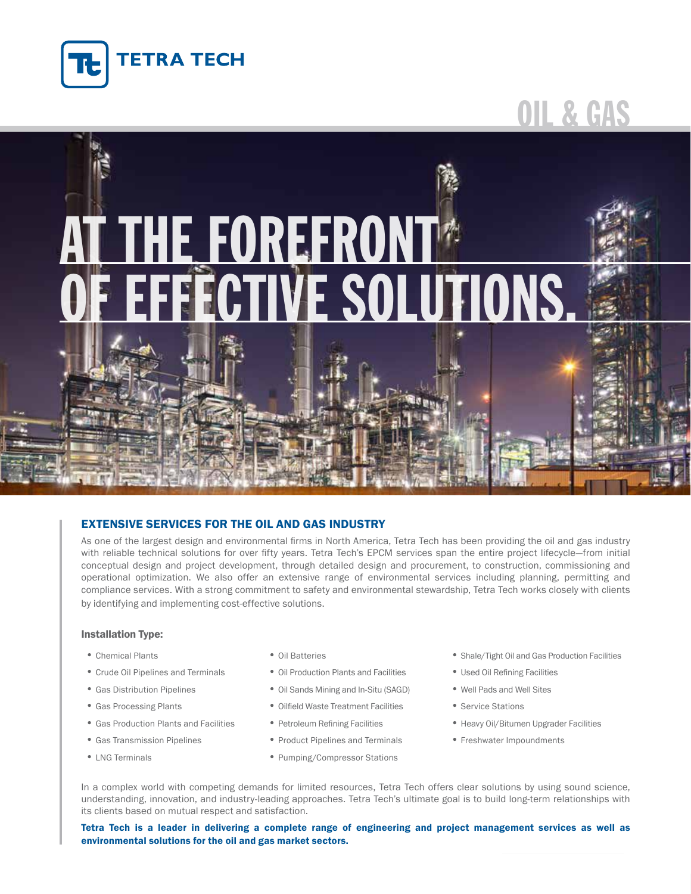

# Oil & Gas

# **HE FOREFRONT\* OFFICANS.**

# Extensive Services for the Oil and Gas Industry

As one of the largest design and environmental firms in North America, Tetra Tech has been providing the oil and gas industry with reliable technical solutions for over fifty years. Tetra Tech's EPCM services span the entire project lifecycle—from initial conceptual design and project development, through detailed design and procurement, to construction, commissioning and operational optimization. We also offer an extensive range of environmental services including planning, permitting and compliance services. With a strong commitment to safety and environmental stewardship, Tetra Tech works closely with clients by identifying and implementing cost-effective solutions.

#### Installation Type:

- 
- Crude Oil Pipelines and Terminals Oil Production Plants and Facilities Used Oil Refining Facilities
- 
- 
- 
- 
- 
- 
- 
- Gas Distribution Pipelines Oil Sands Mining and In-Situ (SAGD) Well Pads and Well Sites
- Gas Processing Plants Cilfield Waste Treatment Facilities Service Stations
	-
- Gas Transmission Pipelines • Product Pipelines and Terminals Freshwater Impoundments
- LNG Terminals **•** Pumping/Compressor Stations
- Chemical Plants Oil Batteries Oil Batteries Shale/Tight Oil and Gas Production Facilities
	-
	-
	-
- Gas Production Plants and Facilities Petroleum Refining Facilities • Heavy Oil/Bitumen Upgrader Facilities
	-

In a complex world with competing demands for limited resources, Tetra Tech offers clear solutions by using sound science, understanding, innovation, and industry-leading approaches. Tetra Tech's ultimate goal is to build long-term relationships with its clients based on mutual respect and satisfaction.

Tetra Tech is a leader in delivering a complete range of engineering and project management services as well as environmental solutions for the oil and gas market sectors.